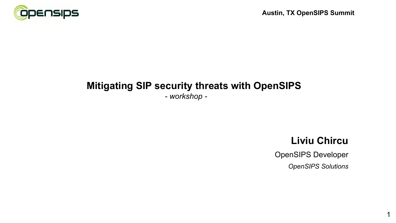

*- workshop -*

#### **Liviu Chircu**

1

OpenSIPS Developer *OpenSIPS Solutions*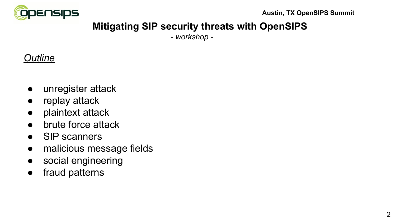

# **Mitigating SIP security threats with OpenSIPS**

*- workshop -*

# *Outline*

- unregister attack
- replay attack
- plaintext attack
- brute force attack
- SIP scanners
- malicious message fields
- social engineering
- fraud patterns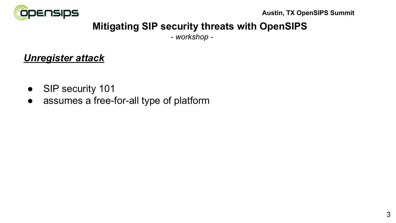

# **Mitigating SIP security threats with OpenSIPS**

*- workshop -*

#### *Unregister attack*

- SIP security 101
- assumes a free-for-all type of platform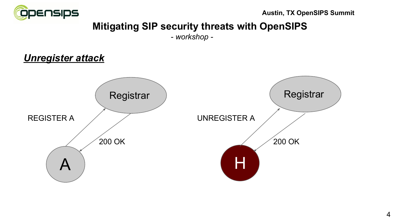

# **Mitigating SIP security threats with OpenSIPS**

*- workshop -*

#### *Unregister attack*

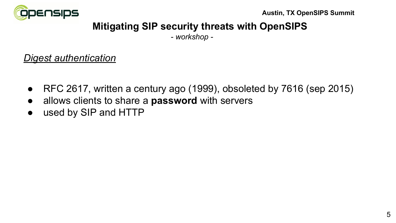

# **Mitigating SIP security threats with OpenSIPS**

*- workshop -*

#### *Digest authentication*

- RFC 2617, written a century ago (1999), obsoleted by 7616 (sep 2015)
- allows clients to share a **password** with servers
- used by SIP and HTTP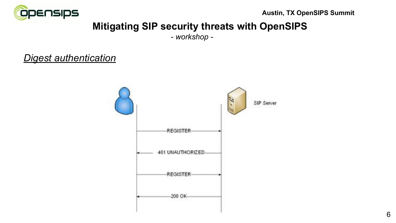

# **Mitigating SIP security threats with OpenSIPS**

*- workshop -*

#### *Digest authentication*

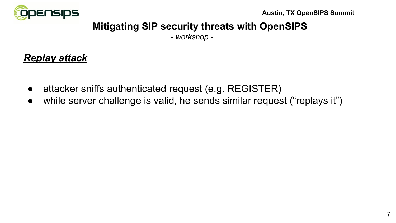

# **Mitigating SIP security threats with OpenSIPS**

*- workshop -*

#### *Replay attack*

- attacker sniffs authenticated request (e.g. REGISTER)
- while server challenge is valid, he sends similar request ("replays it")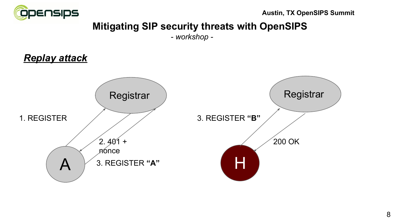

# **Mitigating SIP security threats with OpenSIPS**

*- workshop -*

# *Replay attack*

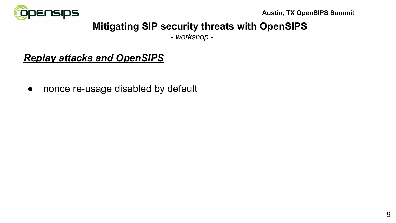

# **Mitigating SIP security threats with OpenSIPS**

*- workshop -*

# *Replay attacks and OpenSIPS*

• nonce re-usage disabled by default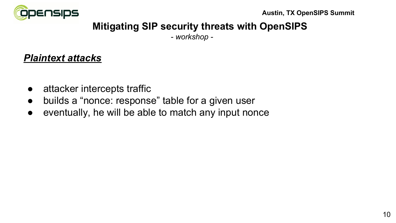

*- workshop -*

#### *Plaintext attacks*

- attacker intercepts traffic
- builds a "nonce: response" table for a given user
- eventually, he will be able to match any input nonce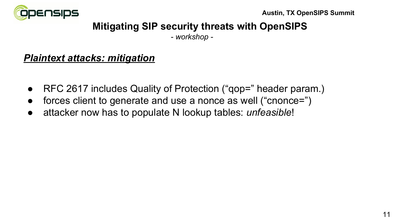

*- workshop -*

#### *Plaintext attacks: mitigation*

- RFC 2617 includes Quality of Protection ("gop=" header param.)
- forces client to generate and use a nonce as well ("cnonce=")
- attacker now has to populate N lookup tables: *unfeasible*!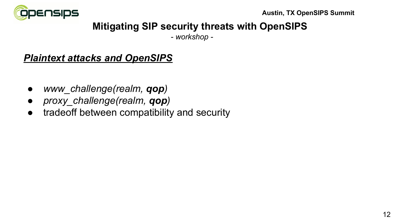

# **Mitigating SIP security threats with OpenSIPS**

*- workshop -*

#### *Plaintext attacks and OpenSIPS*

- *● www\_challenge(realm, qop)*
- *● proxy\_challenge(realm, qop)*
- tradeoff between compatibility and security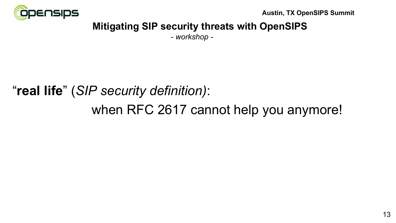

# **Mitigating SIP security threats with OpenSIPS**

*- workshop -*

# "**real life**" (*SIP security definition)*: when RFC 2617 cannot help you anymore!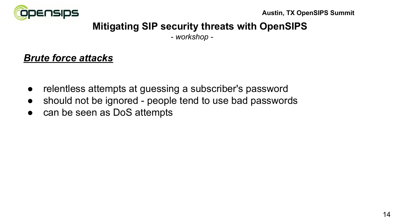

# **Mitigating SIP security threats with OpenSIPS**

*- workshop -*

#### *Brute force attacks*

- relentless attempts at guessing a subscriber's password
- should not be ignored people tend to use bad passwords
- can be seen as DoS attempts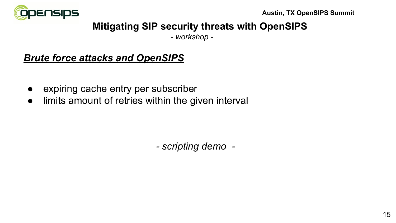

# **Mitigating SIP security threats with OpenSIPS**

*- workshop -*

# *Brute force attacks and OpenSIPS*

- expiring cache entry per subscriber
- limits amount of retries within the given interval

 *- scripting demo -*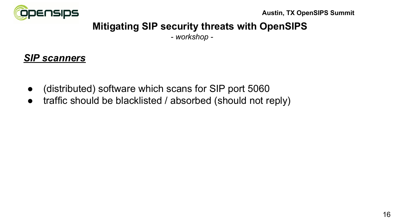

# **Mitigating SIP security threats with OpenSIPS**

*- workshop -*

#### *SIP scanners*

- (distributed) software which scans for SIP port 5060
- traffic should be blacklisted / absorbed (should not reply)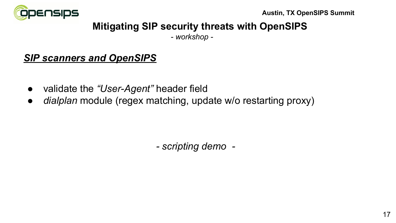

# **Mitigating SIP security threats with OpenSIPS**

*- workshop -*

# *SIP scanners and OpenSIPS*

- validate the *"User-Agent"* header field
- *● dialplan* module (regex matching, update w/o restarting proxy)

 *- scripting demo -*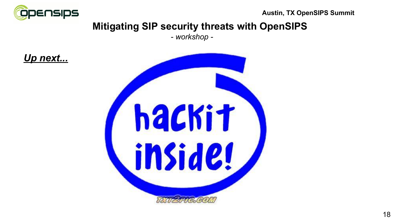

# **Mitigating SIP security threats with OpenSIPS**

*- workshop -*



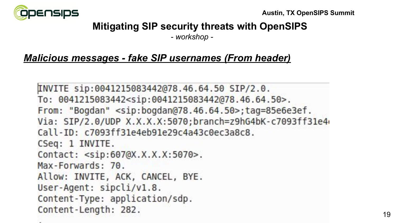

*- workshop -*

#### *Malicious messages - fake SIP usernames (From header)*

```
INVITE sip:0041215083442@78.46.64.50 SIP/2.0.
To: 0041215083442<sip:0041215083442@78.46.64.50>.
From: "Bogdan" <sip:bogdan@78.46.64.50>;tag=85e6e3ef.
Via: SIP/2.0/UDP X.X.X.X:5070;branch=z9hG4bK-c7093ff31e4
Call-ID: c7093ff31e4eb91e29c4a43c0ec3a8c8.
CSeq: 1 INVITE.
Contact: <sip:607@X.X.X.X:5070>.
Max-Forwards: 70.
Allow: INVITE, ACK, CANCEL, BYE.
User-Agent: sipcli/v1.8.
Content-Type: application/sdp.
Content-Length: 282.
```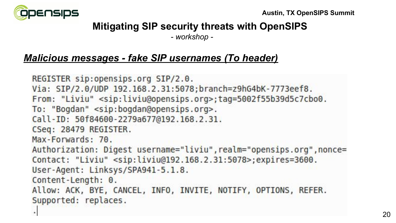

*- workshop -*

#### *Malicious messages - fake SIP usernames (To header)*

```
REGISTER sip:opensips.org SIP/2.0.
Via: SIP/2.0/UDP 192.168.2.31:5078;branch=z9hG4bK-7773eef8.
From: "Liviu" <sip:liviu@opensips.org>;tag=5002f55b39d5c7cbo0.
To: "Bogdan" <sip:bogdan@opensips.org>.
Call-ID: 50f84600-2279a677@192.168.2.31.
CSeq: 28479 REGISTER.
Max-Forwards: 70.
Authorization: Digest username="liviu", realm="opensips.org", nonce=
Contact: "Liviu" <sip:liviu@192.168.2.31:5078>;expires=3600.
User-Agent: Linksys/SPA941-5.1.8.
Content-Length: 0.
Allow: ACK, BYE, CANCEL, INFO, INVITE, NOTIFY, OPTIONS, REFER.
Supported: replaces.
\bar{a}
```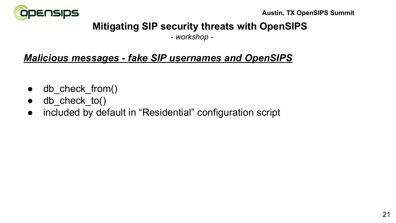

# **Mitigating SIP security threats with OpenSIPS**

*- workshop -*

# *Malicious messages - fake SIP usernames and OpenSIPS*

- $\bullet$  db check from()
- $\bullet$  db check to()
- included by default in "Residential" configuration script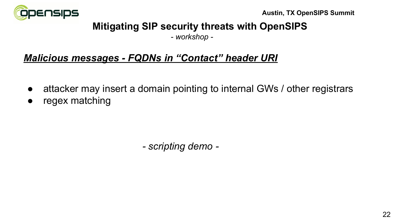

# **Mitigating SIP security threats with OpenSIPS**

*- workshop -*

# *Malicious messages - FQDNs in "Contact" header URI*

- attacker may insert a domain pointing to internal GWs / other registrars
- regex matching

*- scripting demo -*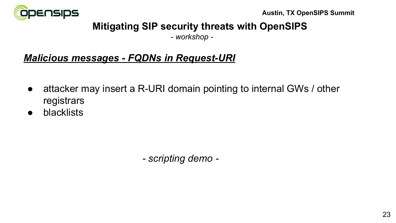

# **Mitigating SIP security threats with OpenSIPS**

*- workshop -*

# *Malicious messages - FQDNs in Request-URI*

- attacker may insert a R-URI domain pointing to internal GWs / other registrars
- blacklists

*- scripting demo -*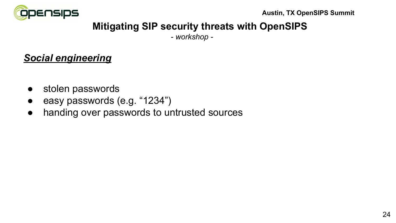

# **Mitigating SIP security threats with OpenSIPS**

*- workshop -*

#### *Social engineering*

- stolen passwords
- easy passwords (e.g. "1234")
- handing over passwords to untrusted sources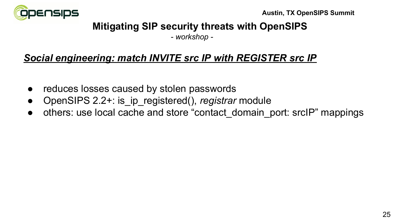

*- workshop -*

# *Social engineering: match INVITE src IP with REGISTER src IP*

- reduces losses caused by stolen passwords
- OpenSIPS 2.2+: is ip registered(), *registrar* module
- others: use local cache and store "contact domain port: srcIP" mappings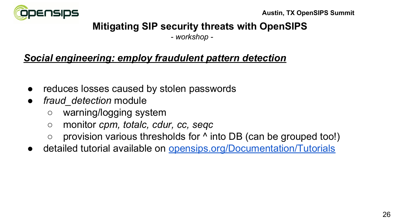

*- workshop -*

#### *Social engineering: employ fraudulent pattern detection*

- reduces losses caused by stolen passwords
- *● fraud\_detection* module
	- warning/logging system
	- *○* monitor *cpm, totalc, cdur, cc, seqc*
	- provision various thresholds for  $\land$  into DB (can be grouped too!)
- detailed tutorial available on [opensips.org/Documentation/Tutorials](http://opensips.org/Documentation/Tutorials)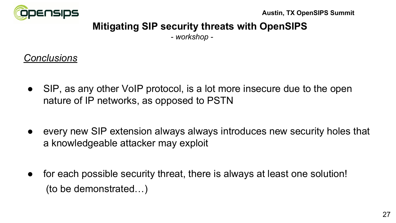

# **Mitigating SIP security threats with OpenSIPS**

*- workshop -*

#### *Conclusions*

- SIP, as any other VoIP protocol, is a lot more insecure due to the open nature of IP networks, as opposed to PSTN
- every new SIP extension always always introduces new security holes that a knowledgeable attacker may exploit
- for each possible security threat, there is always at least one solution! (to be demonstrated…)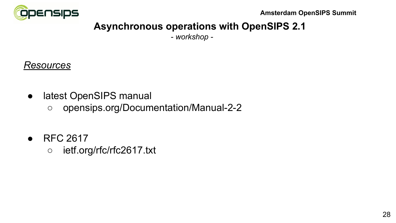

# **Asynchronous operations with OpenSIPS 2.1**

*- workshop -*

#### *Resources*

- latest OpenSIPS manual
	- opensips.org/Documentation/Manual-2-2
- RFC 2617
	- ietf.org/rfc/rfc2617.txt